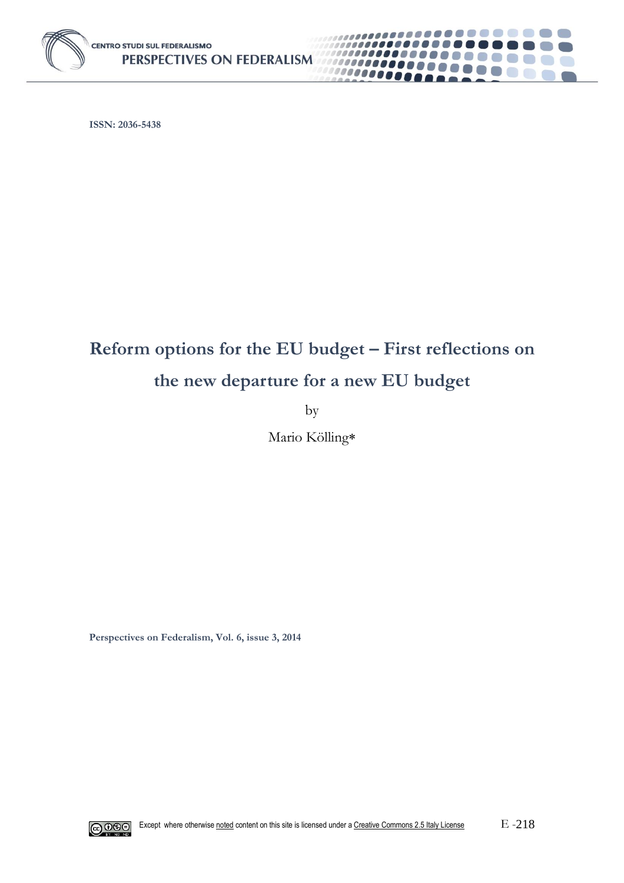

**ISSN: 2036-5438**

# **Reform options for the EU budget – First reflections on the new departure for a new EU budget**

. . . . . . . . **.** 

6. 11

 $\mathcal{L}^{\text{max}}$ **Contract** 

000000000

1000000000

00000000

by

Mario Kölling

**Perspectives on Federalism, Vol. 6, issue 3, 2014**

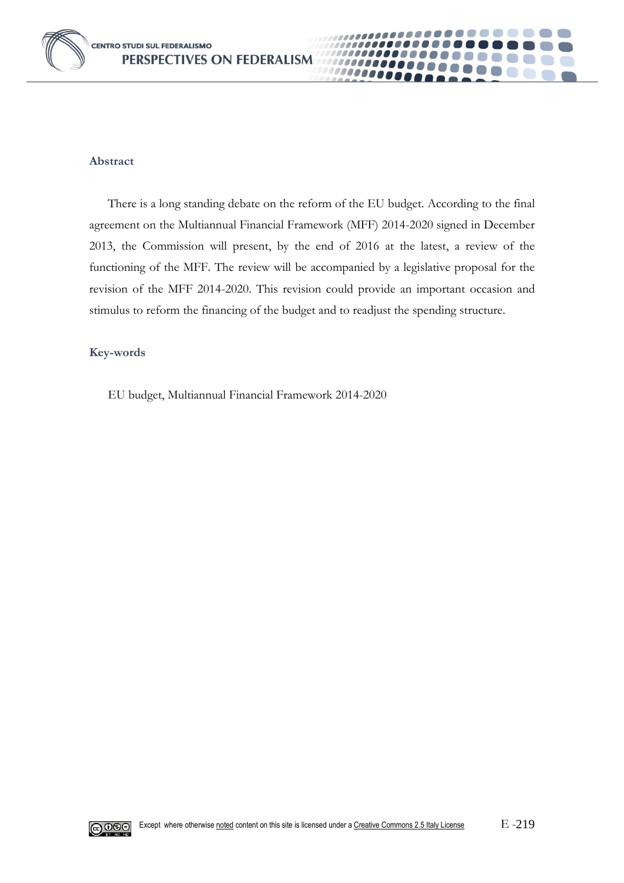



## **Abstract**

There is a long standing debate on the reform of the EU budget. According to the final agreement on the Multiannual Financial Framework (MFF) 2014-2020 signed in December 2013, the Commission will present, by the end of 2016 at the latest, a review of the functioning of the MFF. The review will be accompanied by a legislative proposal for the revision of the MFF 2014-2020. This revision could provide an important occasion and stimulus to reform the financing of the budget and to readjust the spending structure.

## **Key-words**

EU budget, Multiannual Financial Framework 2014-2020

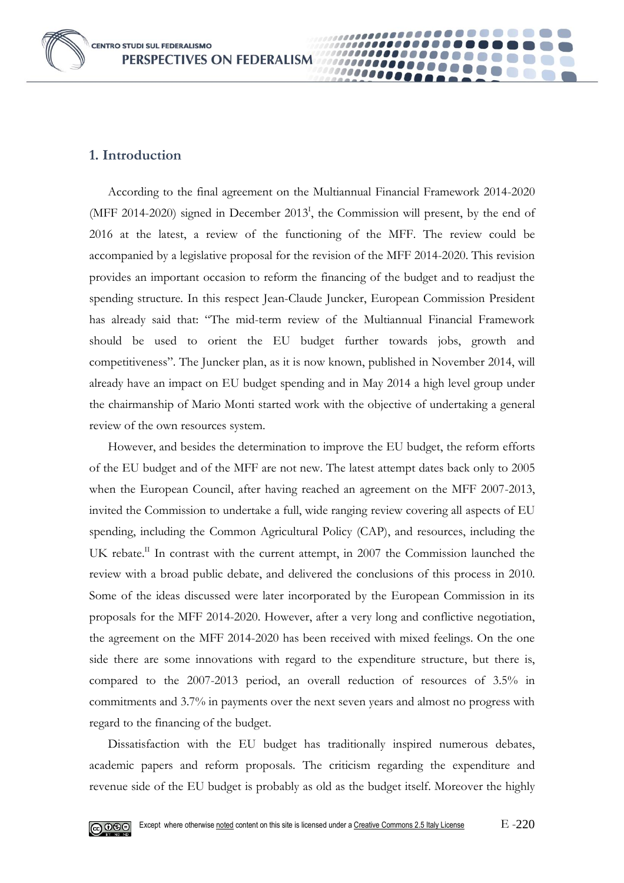**CENTRO STUDI SUL FEDERALISMO** PERSPECTIVES ON FEDERALISM

## **1. Introduction**

According to the final agreement on the Multiannual Financial Framework 2014-2020 (MFF 2014-2020) signed in December 2013<sup>I</sup>, the Commission will present, by the end of 2016 at the latest, a review of the functioning of the MFF. The review could be accompanied by a legislative proposal for the revision of the MFF 2014-2020. This revision provides an important occasion to reform the financing of the budget and to readjust the spending structure. In this respect Jean-Claude Juncker, European Commission President has already said that: "The mid-term review of the Multiannual Financial Framework should be used to orient the EU budget further towards jobs, growth and competitiveness". The Juncker plan, as it is now known, published in November 2014, will already have an impact on EU budget spending and in May 2014 a high level group under the chairmanship of Mario Monti started work with the objective of undertaking a general review of the own resources system.

0000

However, and besides the determination to improve the EU budget, the reform efforts of the EU budget and of the MFF are not new. The latest attempt dates back only to 2005 when the European Council, after having reached an agreement on the MFF 2007-2013, invited the Commission to undertake a full, wide ranging review covering all aspects of EU spending, including the Common Agricultural Policy (CAP), and resources, including the UK rebate.<sup>II</sup> In contrast with the current attempt, in 2007 the Commission launched the review with a broad public debate, and delivered the conclusions of this process in 2010. Some of the ideas discussed were later incorporated by the European Commission in its proposals for the MFF 2014-2020. However, after a very long and conflictive negotiation, the agreement on the MFF 2014-2020 has been received with mixed feelings. On the one side there are some innovations with regard to the expenditure structure, but there is, compared to the 2007-2013 period, an overall reduction of resources of 3.5% in commitments and 3.7% in payments over the next seven years and almost no progress with regard to the financing of the budget.

Dissatisfaction with the EU budget has traditionally inspired numerous debates, academic papers and reform proposals. The criticism regarding the expenditure and revenue side of the EU budget is probably as old as the budget itself. Moreover the highly

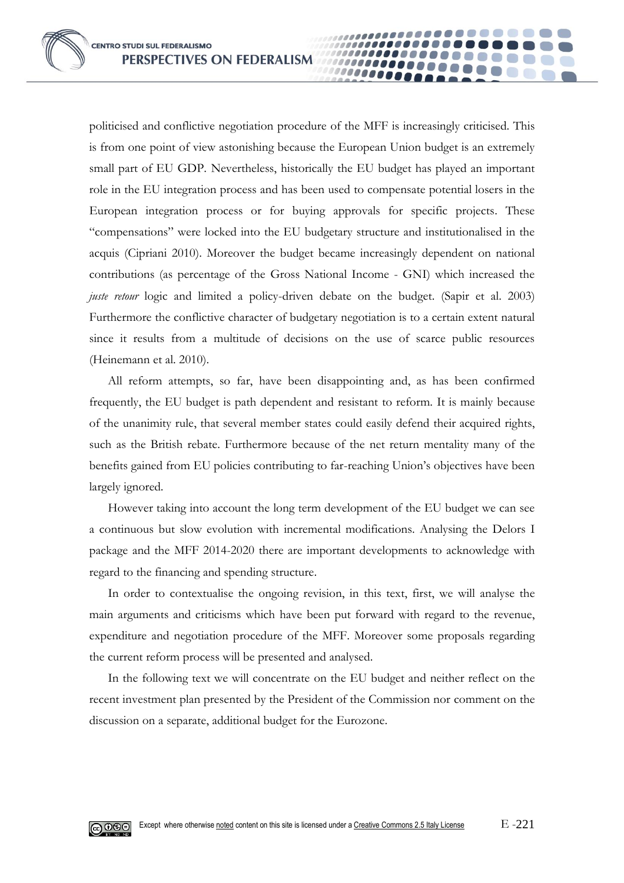politicised and conflictive negotiation procedure of the MFF is increasingly criticised. This is from one point of view astonishing because the European Union budget is an extremely small part of EU GDP. Nevertheless, historically the EU budget has played an important role in the EU integration process and has been used to compensate potential losers in the European integration process or for buying approvals for specific projects. These "compensations" were locked into the EU budgetary structure and institutionalised in the acquis (Cipriani 2010). Moreover the budget became increasingly dependent on national contributions (as percentage of the Gross National Income - GNI) which increased the *juste retour* logic and limited a policy-driven debate on the budget. (Sapir et al. 2003) Furthermore the conflictive character of budgetary negotiation is to a certain extent natural since it results from a multitude of decisions on the use of scarce public resources (Heinemann et al. 2010).

0000

All reform attempts, so far, have been disappointing and, as has been confirmed frequently, the EU budget is path dependent and resistant to reform. It is mainly because of the unanimity rule, that several member states could easily defend their acquired rights, such as the British rebate. Furthermore because of the net return mentality many of the benefits gained from EU policies contributing to far-reaching Union's objectives have been largely ignored.

However taking into account the long term development of the EU budget we can see a continuous but slow evolution with incremental modifications. Analysing the Delors I package and the MFF 2014-2020 there are important developments to acknowledge with regard to the financing and spending structure.

In order to contextualise the ongoing revision, in this text, first, we will analyse the main arguments and criticisms which have been put forward with regard to the revenue, expenditure and negotiation procedure of the MFF. Moreover some proposals regarding the current reform process will be presented and analysed.

In the following text we will concentrate on the EU budget and neither reflect on the recent investment plan presented by the President of the Commission nor comment on the discussion on a separate, additional budget for the Eurozone.

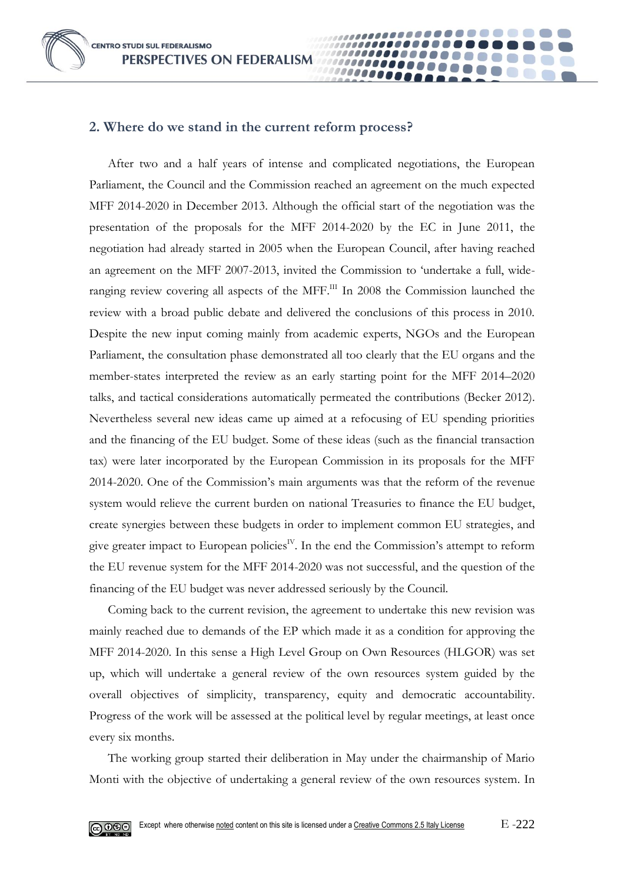**CENTRO STUDI SUL FEDERALISMO** PERSPECTIVES ON FEDERALISM



After two and a half years of intense and complicated negotiations, the European Parliament, the Council and the Commission reached an agreement on the much expected MFF 2014-2020 in December 2013. Although the official start of the negotiation was the presentation of the proposals for the MFF 2014-2020 by the EC in June 2011, the negotiation had already started in 2005 when the European Council, after having reached an agreement on the MFF 2007-2013, invited the Commission to 'undertake a full, wideranging review covering all aspects of the MFF.<sup>III</sup> In 2008 the Commission launched the review with a broad public debate and delivered the conclusions of this process in 2010. Despite the new input coming mainly from academic experts, NGOs and the European Parliament, the consultation phase demonstrated all too clearly that the EU organs and the member-states interpreted the review as an early starting point for the MFF 2014–2020 talks, and tactical considerations automatically permeated the contributions (Becker 2012). Nevertheless several new ideas came up aimed at a refocusing of EU spending priorities and the financing of the EU budget. Some of these ideas (such as the financial transaction tax) were later incorporated by the European Commission in its proposals for the MFF 2014-2020. One of the Commission's main arguments was that the reform of the revenue system would relieve the current burden on national Treasuries to finance the EU budget, create synergies between these budgets in order to implement common EU strategies, and give greater impact to European policies<sup>IV</sup>. In the end the Commission's attempt to reform the EU revenue system for the MFF 2014-2020 was not successful, and the question of the financing of the EU budget was never addressed seriously by the Council.

**0000** 

Coming back to the current revision, the agreement to undertake this new revision was mainly reached due to demands of the EP which made it as a condition for approving the MFF 2014-2020. In this sense a High Level Group on Own Resources (HLGOR) was set up, which will undertake a general review of the own resources system guided by the overall objectives of simplicity, transparency, equity and democratic accountability. Progress of the work will be assessed at the political level by regular meetings, at least once every six months.

The working group started their deliberation in May under the chairmanship of Mario Monti with the objective of undertaking a general review of the own resources system. In

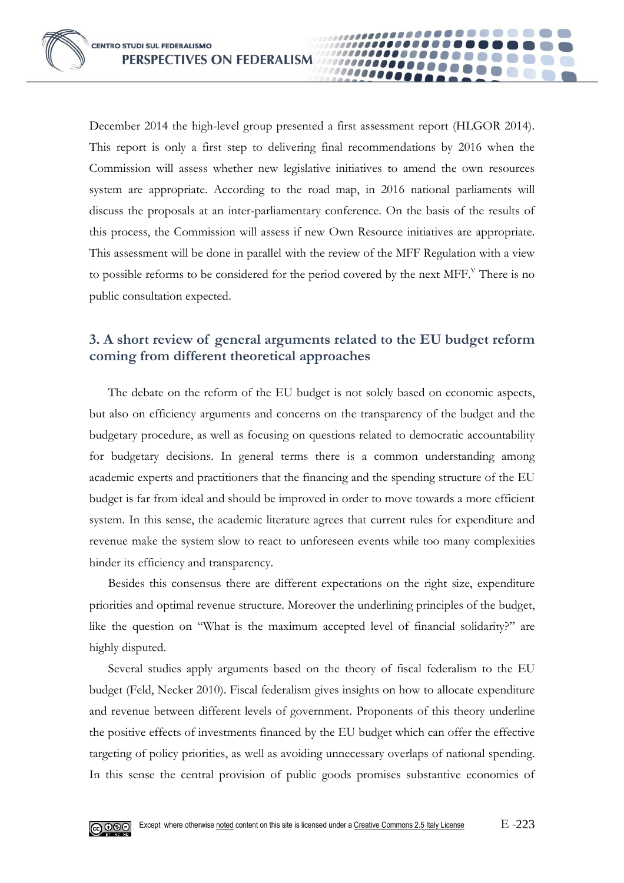December 2014 the high-level group presented a first assessment report (HLGOR 2014). This report is only a first step to delivering final recommendations by 2016 when the Commission will assess whether new legislative initiatives to amend the own resources system are appropriate. According to the road map, in 2016 national parliaments will discuss the proposals at an inter-parliamentary conference. On the basis of the results of this process, the Commission will assess if new Own Resource initiatives are appropriate. This assessment will be done in parallel with the review of the MFF Regulation with a view to possible reforms to be considered for the period covered by the next MFF.<sup>V</sup> There is no public consultation expected.

0000

# **3. A short review of general arguments related to the EU budget reform coming from different theoretical approaches**

The debate on the reform of the EU budget is not solely based on economic aspects, but also on efficiency arguments and concerns on the transparency of the budget and the budgetary procedure, as well as focusing on questions related to democratic accountability for budgetary decisions. In general terms there is a common understanding among academic experts and practitioners that the financing and the spending structure of the EU budget is far from ideal and should be improved in order to move towards a more efficient system. In this sense, the academic literature agrees that current rules for expenditure and revenue make the system slow to react to unforeseen events while too many complexities hinder its efficiency and transparency.

Besides this consensus there are different expectations on the right size, expenditure priorities and optimal revenue structure. Moreover the underlining principles of the budget, like the question on "What is the maximum accepted level of financial solidarity?" are highly disputed.

Several studies apply arguments based on the theory of fiscal federalism to the EU budget (Feld, Necker 2010). Fiscal federalism gives insights on how to allocate expenditure and revenue between different levels of government. Proponents of this theory underline the positive effects of investments financed by the EU budget which can offer the effective targeting of policy priorities, as well as avoiding unnecessary overlaps of national spending. In this sense the central provision of public goods promises substantive economies of

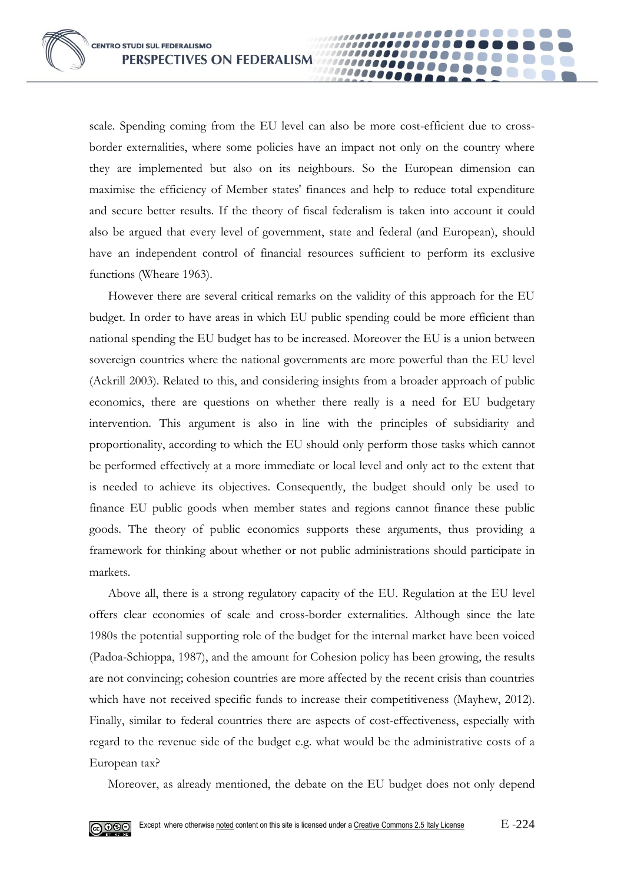scale. Spending coming from the EU level can also be more cost-efficient due to crossborder externalities, where some policies have an impact not only on the country where they are implemented but also on its neighbours. So the European dimension can maximise the efficiency of Member states' finances and help to reduce total expenditure and secure better results. If the theory of fiscal federalism is taken into account it could also be argued that every level of government, state and federal (and European), should have an independent control of financial resources sufficient to perform its exclusive functions (Wheare 1963).

00000

However there are several critical remarks on the validity of this approach for the EU budget. In order to have areas in which EU public spending could be more efficient than national spending the EU budget has to be increased. Moreover the EU is a union between sovereign countries where the national governments are more powerful than the EU level (Ackrill 2003). Related to this, and considering insights from a broader approach of public economics, there are questions on whether there really is a need for EU budgetary intervention. This argument is also in line with the principles of subsidiarity and proportionality, according to which the EU should only perform those tasks which cannot be performed effectively at a more immediate or local level and only act to the extent that is needed to achieve its objectives. Consequently, the budget should only be used to finance EU public goods when member states and regions cannot finance these public goods. The theory of public economics supports these arguments, thus providing a framework for thinking about whether or not public administrations should participate in markets.

Above all, there is a strong regulatory capacity of the EU. Regulation at the EU level offers clear economies of scale and cross-border externalities. Although since the late 1980s the potential supporting role of the budget for the internal market have been voiced (Padoa-Schioppa, 1987), and the amount for Cohesion policy has been growing, the results are not convincing; cohesion countries are more affected by the recent crisis than countries which have not received specific funds to increase their competitiveness (Mayhew, 2012). Finally, similar to federal countries there are aspects of cost-effectiveness, especially with regard to the revenue side of the budget e.g. what would be the administrative costs of a European tax?

Moreover, as already mentioned, the debate on the EU budget does not only depend

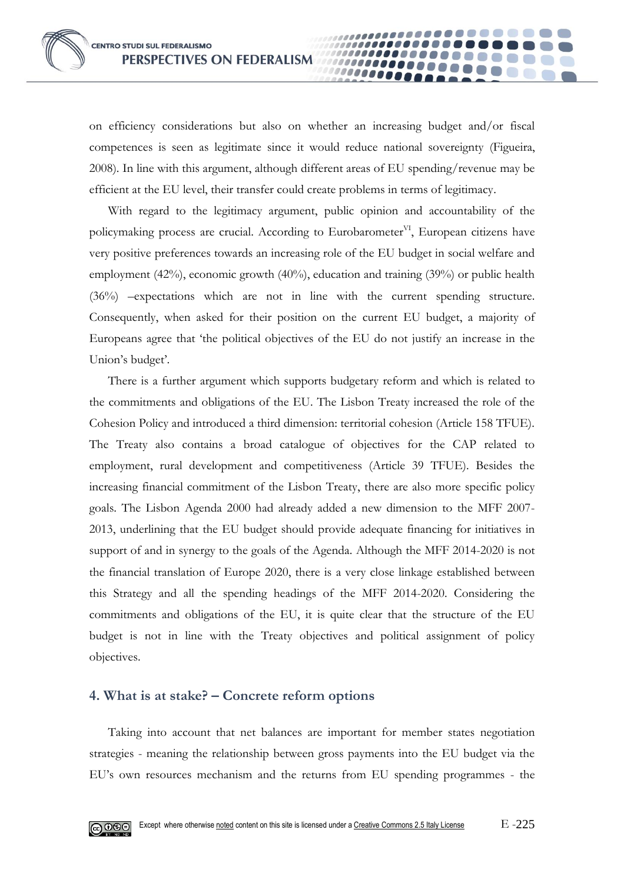on efficiency considerations but also on whether an increasing budget and/or fiscal competences is seen as legitimate since it would reduce national sovereignty (Figueira, 2008). In line with this argument, although different areas of EU spending/revenue may be efficient at the EU level, their transfer could create problems in terms of legitimacy.

00000

With regard to the legitimacy argument, public opinion and accountability of the policymaking process are crucial. According to Eurobarometer<sup>VI</sup>, European citizens have very positive preferences towards an increasing role of the EU budget in social welfare and employment (42%), economic growth (40%), education and training (39%) or public health (36%) –expectations which are not in line with the current spending structure. Consequently, when asked for their position on the current EU budget, a majority of Europeans agree that 'the political objectives of the EU do not justify an increase in the Union's budget'.

There is a further argument which supports budgetary reform and which is related to the commitments and obligations of the EU. The Lisbon Treaty increased the role of the Cohesion Policy and introduced a third dimension: territorial cohesion (Article 158 TFUE). The Treaty also contains a broad catalogue of objectives for the CAP related to employment, rural development and competitiveness (Article 39 TFUE). Besides the increasing financial commitment of the Lisbon Treaty, there are also more specific policy goals. The Lisbon Agenda 2000 had already added a new dimension to the MFF 2007- 2013, underlining that the EU budget should provide adequate financing for initiatives in support of and in synergy to the goals of the Agenda. Although the MFF 2014-2020 is not the financial translation of Europe 2020, there is a very close linkage established between this Strategy and all the spending headings of the MFF 2014-2020. Considering the commitments and obligations of the EU, it is quite clear that the structure of the EU budget is not in line with the Treaty objectives and political assignment of policy objectives.

# **4. What is at stake? – Concrete reform options**

Taking into account that net balances are important for member states negotiation strategies - meaning the relationship between gross payments into the EU budget via the EU's own resources mechanism and the returns from EU spending programmes - the

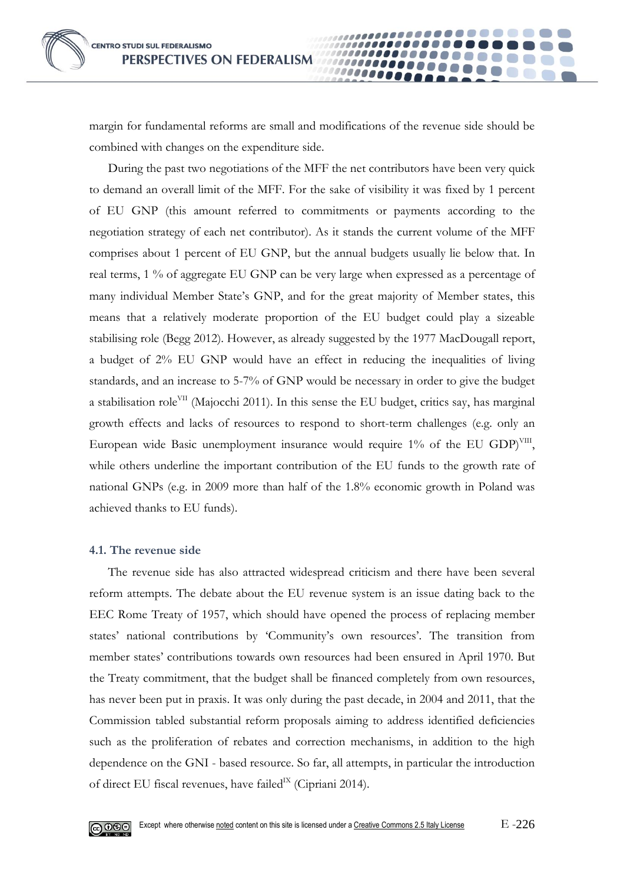

margin for fundamental reforms are small and modifications of the revenue side should be combined with changes on the expenditure side.

**0000** 

During the past two negotiations of the MFF the net contributors have been very quick to demand an overall limit of the MFF. For the sake of visibility it was fixed by 1 percent of EU GNP (this amount referred to commitments or payments according to the negotiation strategy of each net contributor). As it stands the current volume of the MFF comprises about 1 percent of EU GNP, but the annual budgets usually lie below that. In real terms, 1 % of aggregate EU GNP can be very large when expressed as a percentage of many individual Member State's GNP, and for the great majority of Member states, this means that a relatively moderate proportion of the EU budget could play a sizeable stabilising role (Begg 2012). However, as already suggested by the 1977 MacDougall report, a budget of 2% EU GNP would have an effect in reducing the inequalities of living standards, and an increase to 5-7% of GNP would be necessary in order to give the budget a stabilisation role<sup>VII</sup> (Majocchi 2011). In this sense the EU budget, critics say, has marginal growth effects and lacks of resources to respond to short-term challenges (e.g. only an European wide Basic unemployment insurance would require 1% of the EU GDP)<sup>VIII</sup>, while others underline the important contribution of the EU funds to the growth rate of national GNPs (e.g. in 2009 more than half of the 1.8% economic growth in Poland was achieved thanks to EU funds).

#### **4.1. The revenue side**

The revenue side has also attracted widespread criticism and there have been several reform attempts. The debate about the EU revenue system is an issue dating back to the EEC Rome Treaty of 1957, which should have opened the process of replacing member states' national contributions by 'Community's own resources'. The transition from member states' contributions towards own resources had been ensured in April 1970. But the Treaty commitment, that the budget shall be financed completely from own resources, has never been put in praxis. It was only during the past decade, in 2004 and 2011, that the Commission tabled substantial reform proposals aiming to address identified deficiencies such as the proliferation of rebates and correction mechanisms, in addition to the high dependence on the GNI - based resource. So far, all attempts, in particular the introduction of direct EU fiscal revenues, have failed<sup>IX</sup> (Cipriani 2014).

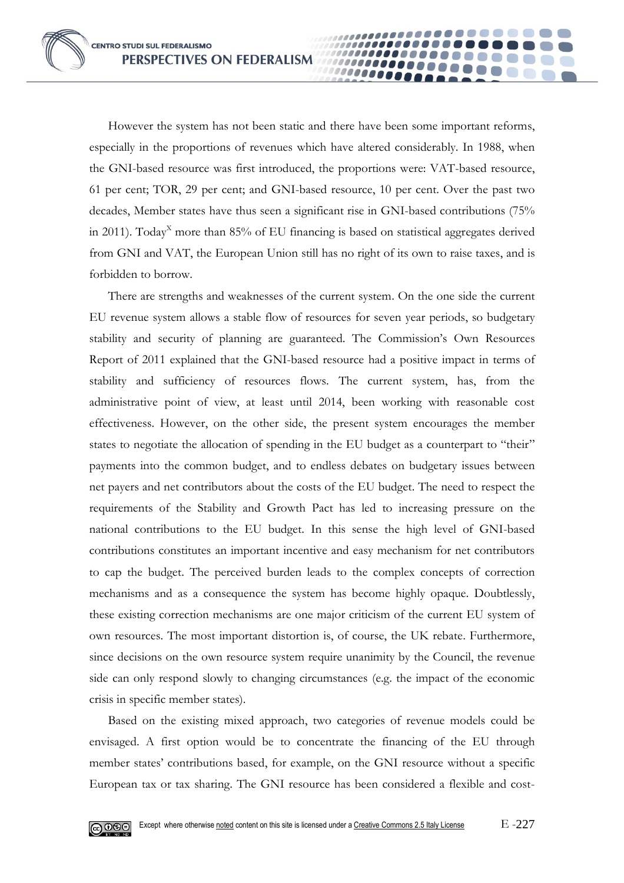However the system has not been static and there have been some important reforms, especially in the proportions of revenues which have altered considerably. In 1988, when the GNI-based resource was first introduced, the proportions were: VAT-based resource, 61 per cent; TOR, 29 per cent; and GNI-based resource, 10 per cent. Over the past two decades, Member states have thus seen a significant rise in GNI-based contributions (75% in 2011). Today<sup>X</sup> more than 85% of EU financing is based on statistical aggregates derived from GNI and VAT, the European Union still has no right of its own to raise taxes, and is forbidden to borrow.

00000

There are strengths and weaknesses of the current system. On the one side the current EU revenue system allows a stable flow of resources for seven year periods, so budgetary stability and security of planning are guaranteed. The Commission's Own Resources Report of 2011 explained that the GNI-based resource had a positive impact in terms of stability and sufficiency of resources flows. The current system, has, from the administrative point of view, at least until 2014, been working with reasonable cost effectiveness. However, on the other side, the present system encourages the member states to negotiate the allocation of spending in the EU budget as a counterpart to "their" payments into the common budget, and to endless debates on budgetary issues between net payers and net contributors about the costs of the EU budget. The need to respect the requirements of the Stability and Growth Pact has led to increasing pressure on the national contributions to the EU budget. In this sense the high level of GNI-based contributions constitutes an important incentive and easy mechanism for net contributors to cap the budget. The perceived burden leads to the complex concepts of correction mechanisms and as a consequence the system has become highly opaque. Doubtlessly, these existing correction mechanisms are one major criticism of the current EU system of own resources. The most important distortion is, of course, the UK rebate. Furthermore, since decisions on the own resource system require unanimity by the Council, the revenue side can only respond slowly to changing circumstances (e.g. the impact of the economic crisis in specific member states).

Based on the existing mixed approach, two categories of revenue models could be envisaged. A first option would be to concentrate the financing of the EU through member states' contributions based, for example, on the GNI resource without a specific European tax or tax sharing. The GNI resource has been considered a flexible and cost-

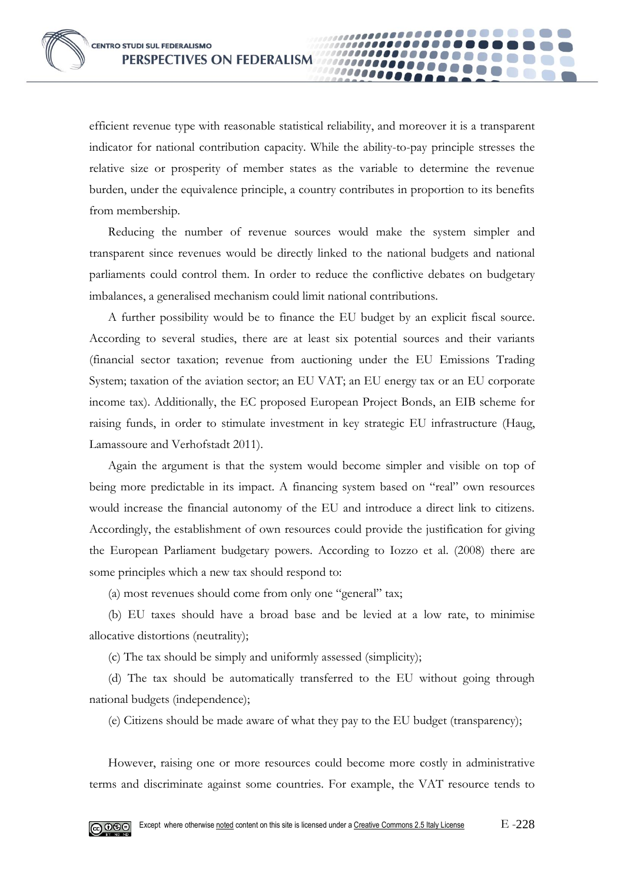efficient revenue type with reasonable statistical reliability, and moreover it is a transparent indicator for national contribution capacity. While the ability-to-pay principle stresses the relative size or prosperity of member states as the variable to determine the revenue burden, under the equivalence principle, a country contributes in proportion to its benefits from membership.

10000

Reducing the number of revenue sources would make the system simpler and transparent since revenues would be directly linked to the national budgets and national parliaments could control them. In order to reduce the conflictive debates on budgetary imbalances, a generalised mechanism could limit national contributions.

A further possibility would be to finance the EU budget by an explicit fiscal source. According to several studies, there are at least six potential sources and their variants (financial sector taxation; revenue from auctioning under the EU Emissions Trading System; taxation of the aviation sector; an EU VAT; an EU energy tax or an EU corporate income tax). Additionally, the EC proposed European Project Bonds, an EIB scheme for raising funds, in order to stimulate investment in key strategic EU infrastructure (Haug, Lamassoure and Verhofstadt 2011).

Again the argument is that the system would become simpler and visible on top of being more predictable in its impact. A financing system based on "real" own resources would increase the financial autonomy of the EU and introduce a direct link to citizens. Accordingly, the establishment of own resources could provide the justification for giving the European Parliament budgetary powers. According to Iozzo et al. (2008) there are some principles which a new tax should respond to:

(a) most revenues should come from only one "general" tax;

(b) EU taxes should have a broad base and be levied at a low rate, to minimise allocative distortions (neutrality);

(c) The tax should be simply and uniformly assessed (simplicity);

(d) The tax should be automatically transferred to the EU without going through national budgets (independence);

(e) Citizens should be made aware of what they pay to the EU budget (transparency);

However, raising one or more resources could become more costly in administrative terms and discriminate against some countries. For example, the VAT resource tends to

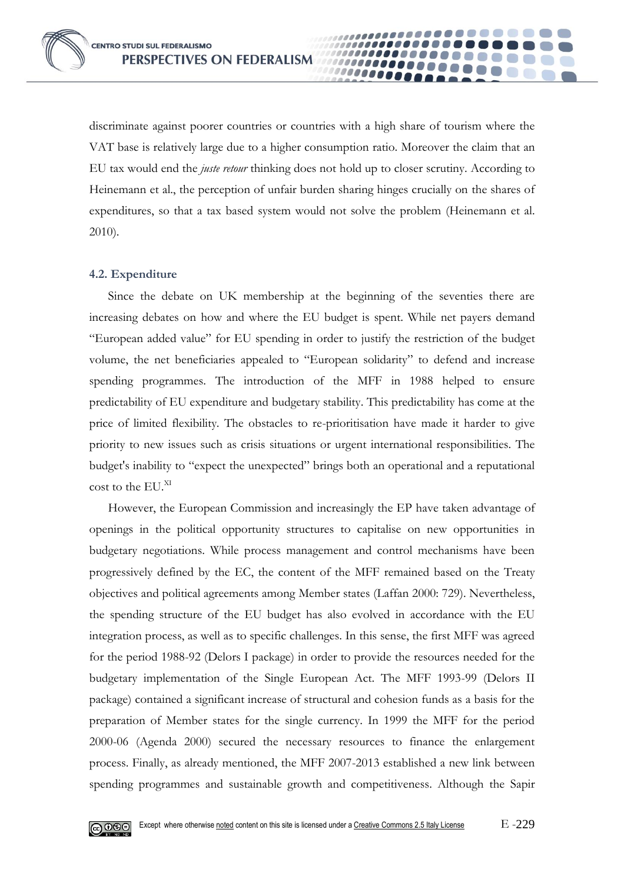discriminate against poorer countries or countries with a high share of tourism where the VAT base is relatively large due to a higher consumption ratio. Moreover the claim that an EU tax would end the *juste retour* thinking does not hold up to closer scrutiny. According to Heinemann et al., the perception of unfair burden sharing hinges crucially on the shares of expenditures, so that a tax based system would not solve the problem (Heinemann et al. 2010).

0000

## **4.2. Expenditure**

Since the debate on UK membership at the beginning of the seventies there are increasing debates on how and where the EU budget is spent. While net payers demand "European added value" for EU spending in order to justify the restriction of the budget volume, the net beneficiaries appealed to "European solidarity" to defend and increase spending programmes. The introduction of the MFF in 1988 helped to ensure predictability of EU expenditure and budgetary stability. This predictability has come at the price of limited flexibility. The obstacles to re-prioritisation have made it harder to give priority to new issues such as crisis situations or urgent international responsibilities. The budget's inability to "expect the unexpected" brings both an operational and a reputational cost to the EU.<sup>XI</sup>

However, the European Commission and increasingly the EP have taken advantage of openings in the political opportunity structures to capitalise on new opportunities in budgetary negotiations. While process management and control mechanisms have been progressively defined by the EC, the content of the MFF remained based on the Treaty objectives and political agreements among Member states (Laffan 2000: 729). Nevertheless, the spending structure of the EU budget has also evolved in accordance with the EU integration process, as well as to specific challenges. In this sense, the first MFF was agreed for the period 1988-92 (Delors I package) in order to provide the resources needed for the budgetary implementation of the Single European Act. The MFF 1993-99 (Delors II package) contained a significant increase of structural and cohesion funds as a basis for the preparation of Member states for the single currency. In 1999 the MFF for the period 2000-06 (Agenda 2000) secured the necessary resources to finance the enlargement process. Finally, as already mentioned, the MFF 2007-2013 established a new link between spending programmes and sustainable growth and competitiveness. Although the Sapir

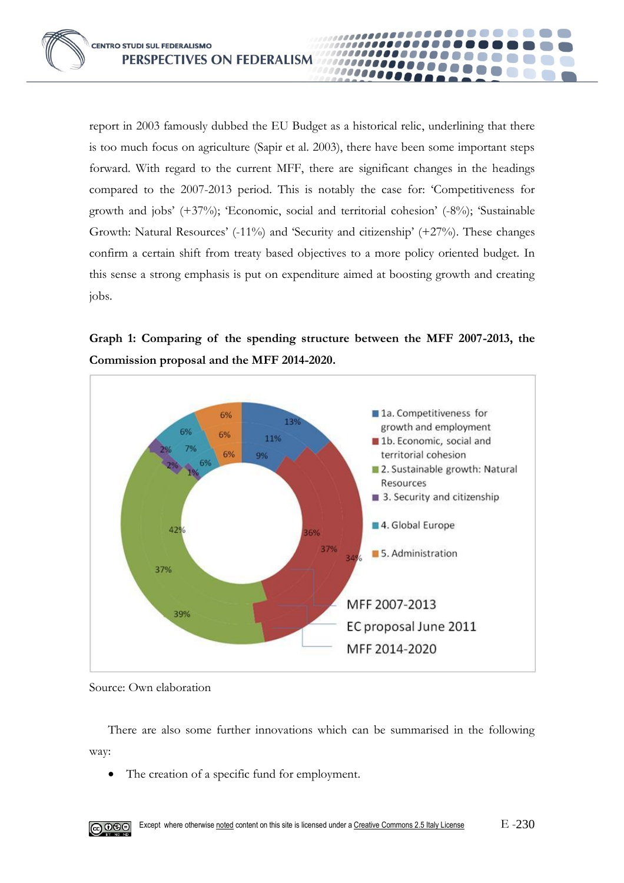report in 2003 famously dubbed the EU Budget as a historical relic, underlining that there is too much focus on agriculture (Sapir et al. 2003), there have been some important steps forward. With regard to the current MFF, there are significant changes in the headings compared to the 2007-2013 period. This is notably the case for: 'Competitiveness for growth and jobs' (+37%); 'Economic, social and territorial cohesion' (-8%); 'Sustainable Growth: Natural Resources' (-11%) and 'Security and citizenship' (+27%). These changes confirm a certain shift from treaty based objectives to a more policy oriented budget. In this sense a strong emphasis is put on expenditure aimed at boosting growth and creating jobs.

1000000 10000





Source: Own elaboration

There are also some further innovations which can be summarised in the following way:

The creation of a specific fund for employment.

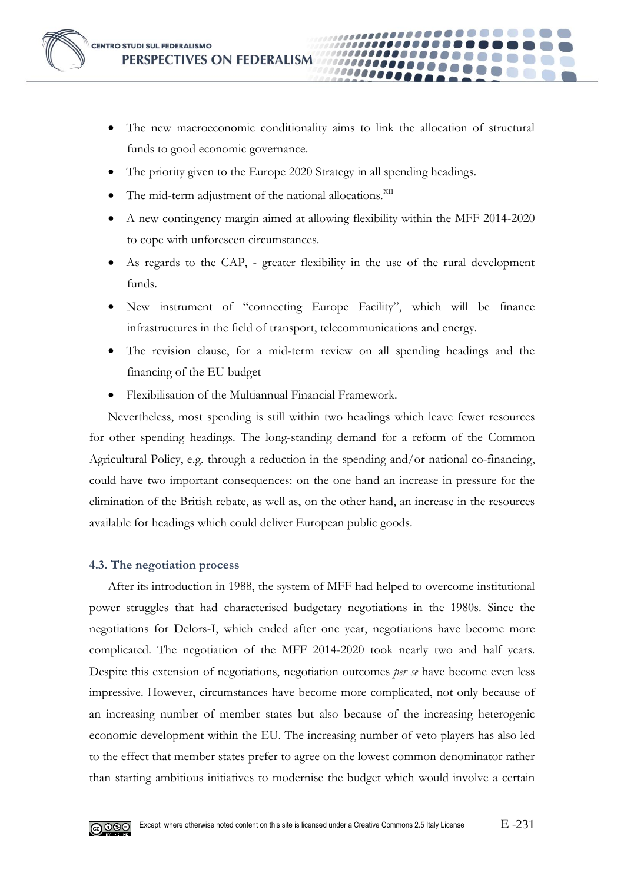

 The new macroeconomic conditionality aims to link the allocation of structural funds to good economic governance.

**0000** 

- The priority given to the Europe 2020 Strategy in all spending headings.
- The mid-term adjustment of the national allocations.<sup>XII</sup>
- A new contingency margin aimed at allowing flexibility within the MFF 2014-2020 to cope with unforeseen circumstances.
- As regards to the CAP, greater flexibility in the use of the rural development funds.
- New instrument of "connecting Europe Facility", which will be finance infrastructures in the field of transport, telecommunications and energy.
- The revision clause, for a mid-term review on all spending headings and the financing of the EU budget
- Flexibilisation of the Multiannual Financial Framework.

Nevertheless, most spending is still within two headings which leave fewer resources for other spending headings. The long-standing demand for a reform of the Common Agricultural Policy, e.g. through a reduction in the spending and/or national co-financing, could have two important consequences: on the one hand an increase in pressure for the elimination of the British rebate, as well as, on the other hand, an increase in the resources available for headings which could deliver European public goods.

## **4.3. The negotiation process**

After its introduction in 1988, the system of MFF had helped to overcome institutional power struggles that had characterised budgetary negotiations in the 1980s. Since the negotiations for Delors-I, which ended after one year, negotiations have become more complicated. The negotiation of the MFF 2014-2020 took nearly two and half years. Despite this extension of negotiations, negotiation outcomes *per se* have become even less impressive. However, circumstances have become more complicated, not only because of an increasing number of member states but also because of the increasing heterogenic economic development within the EU. The increasing number of veto players has also led to the effect that member states prefer to agree on the lowest common denominator rather than starting ambitious initiatives to modernise the budget which would involve a certain

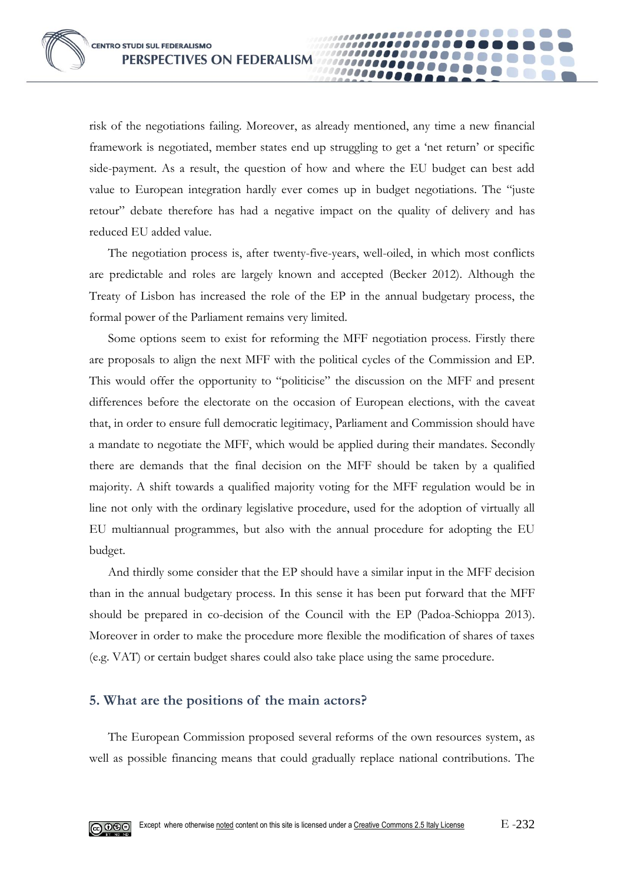risk of the negotiations failing. Moreover, as already mentioned, any time a new financial framework is negotiated, member states end up struggling to get a 'net return' or specific side-payment. As a result, the question of how and where the EU budget can best add value to European integration hardly ever comes up in budget negotiations. The "juste retour" debate therefore has had a negative impact on the quality of delivery and has reduced EU added value.

00000

The negotiation process is, after twenty-five-years, well-oiled, in which most conflicts are predictable and roles are largely known and accepted (Becker 2012). Although the Treaty of Lisbon has increased the role of the EP in the annual budgetary process, the formal power of the Parliament remains very limited.

Some options seem to exist for reforming the MFF negotiation process. Firstly there are proposals to align the next MFF with the political cycles of the Commission and EP. This would offer the opportunity to "politicise" the discussion on the MFF and present differences before the electorate on the occasion of European elections, with the caveat that, in order to ensure full democratic legitimacy, Parliament and Commission should have a mandate to negotiate the MFF, which would be applied during their mandates. Secondly there are demands that the final decision on the MFF should be taken by a qualified majority. A shift towards a qualified majority voting for the MFF regulation would be in line not only with the ordinary legislative procedure, used for the adoption of virtually all EU multiannual programmes, but also with the annual procedure for adopting the EU budget.

And thirdly some consider that the EP should have a similar input in the MFF decision than in the annual budgetary process. In this sense it has been put forward that the MFF should be prepared in co-decision of the Council with the EP (Padoa-Schioppa 2013). Moreover in order to make the procedure more flexible the modification of shares of taxes (e.g. VAT) or certain budget shares could also take place using the same procedure.

## **5. What are the positions of the main actors?**

The European Commission proposed several reforms of the own resources system, as well as possible financing means that could gradually replace national contributions. The

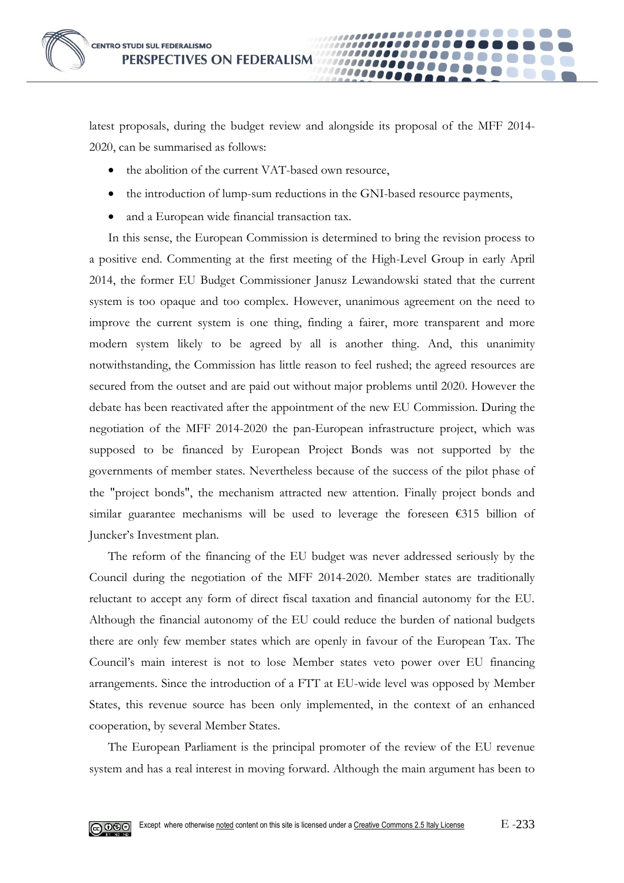latest proposals, during the budget review and alongside its proposal of the MFF 2014- 2020, can be summarised as follows:

00000

- the abolition of the current VAT-based own resource,
- the introduction of lump-sum reductions in the GNI-based resource payments,
- and a European wide financial transaction tax.

In this sense, the European Commission is determined to bring the revision process to a positive end. Commenting at the first meeting of the High-Level Group in early April 2014, the former EU Budget Commissioner Janusz Lewandowski stated that the current system is too opaque and too complex. However, unanimous agreement on the need to improve the current system is one thing, finding a fairer, more transparent and more modern system likely to be agreed by all is another thing. And, this unanimity notwithstanding, the Commission has little reason to feel rushed; the agreed resources are secured from the outset and are paid out without major problems until 2020. However the debate has been reactivated after the appointment of the new EU Commission. During the negotiation of the MFF 2014-2020 the pan-European infrastructure project, which was supposed to be financed by European Project Bonds was not supported by the governments of member states. Nevertheless because of the success of the pilot phase of the "project bonds", the mechanism attracted new attention. Finally project bonds and similar guarantee mechanisms will be used to leverage the foreseen  $\epsilon$ 315 billion of Juncker's Investment plan.

The reform of the financing of the EU budget was never addressed seriously by the Council during the negotiation of the MFF 2014-2020. Member states are traditionally reluctant to accept any form of direct fiscal taxation and financial autonomy for the EU. Although the financial autonomy of the EU could reduce the burden of national budgets there are only few member states which are openly in favour of the European Tax. The Council's main interest is not to lose Member states veto power over EU financing arrangements. Since the introduction of a FTT at EU-wide level was opposed by Member States, this revenue source has been only implemented, in the context of an enhanced cooperation, by several Member States.

The European Parliament is the principal promoter of the review of the EU revenue system and has a real interest in moving forward. Although the main argument has been to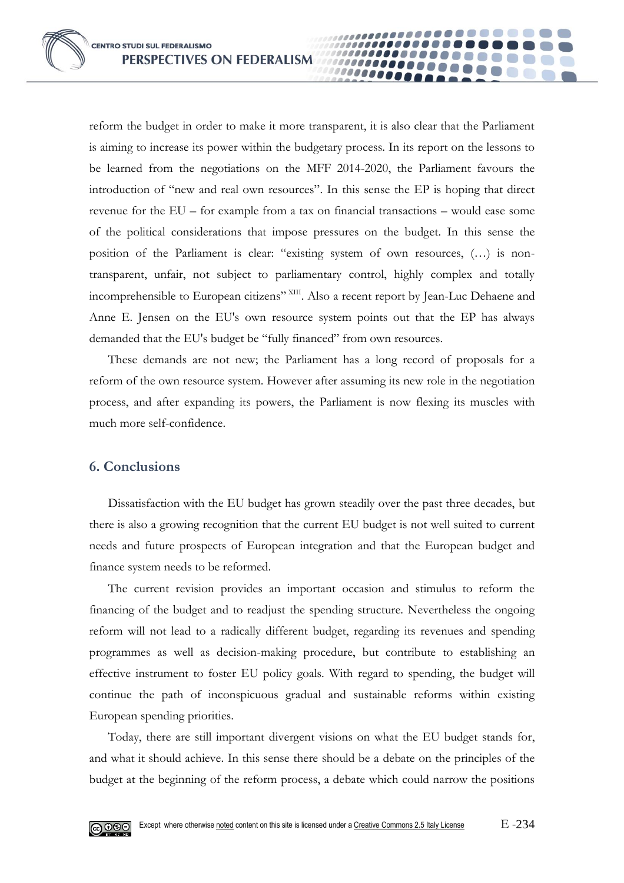reform the budget in order to make it more transparent, it is also clear that the Parliament is aiming to increase its power within the budgetary process. In its report on the lessons to be learned from the negotiations on the MFF 2014-2020, the Parliament favours the introduction of "new and real own resources". In this sense the EP is hoping that direct revenue for the EU – for example from a tax on financial transactions – would ease some of the political considerations that impose pressures on the budget. In this sense the position of the Parliament is clear: "existing system of own resources, (…) is nontransparent, unfair, not subject to parliamentary control, highly complex and totally incomprehensible to European citizens" XIII. Also a recent report by Jean-Luc Dehaene and Anne E. Jensen on the EU's own resource system points out that the EP has always demanded that the EU's budget be "fully financed" from own resources.

**0000** 

These demands are not new; the Parliament has a long record of proposals for a reform of the own resource system. However after assuming its new role in the negotiation process, and after expanding its powers, the Parliament is now flexing its muscles with much more self-confidence.

# **6. Conclusions**

Dissatisfaction with the EU budget has grown steadily over the past three decades, but there is also a growing recognition that the current EU budget is not well suited to current needs and future prospects of European integration and that the European budget and finance system needs to be reformed.

The current revision provides an important occasion and stimulus to reform the financing of the budget and to readjust the spending structure. Nevertheless the ongoing reform will not lead to a radically different budget, regarding its revenues and spending programmes as well as decision-making procedure, but contribute to establishing an effective instrument to foster EU policy goals. With regard to spending, the budget will continue the path of inconspicuous gradual and sustainable reforms within existing European spending priorities.

Today, there are still important divergent visions on what the EU budget stands for, and what it should achieve. In this sense there should be a debate on the principles of the budget at the beginning of the reform process, a debate which could narrow the positions

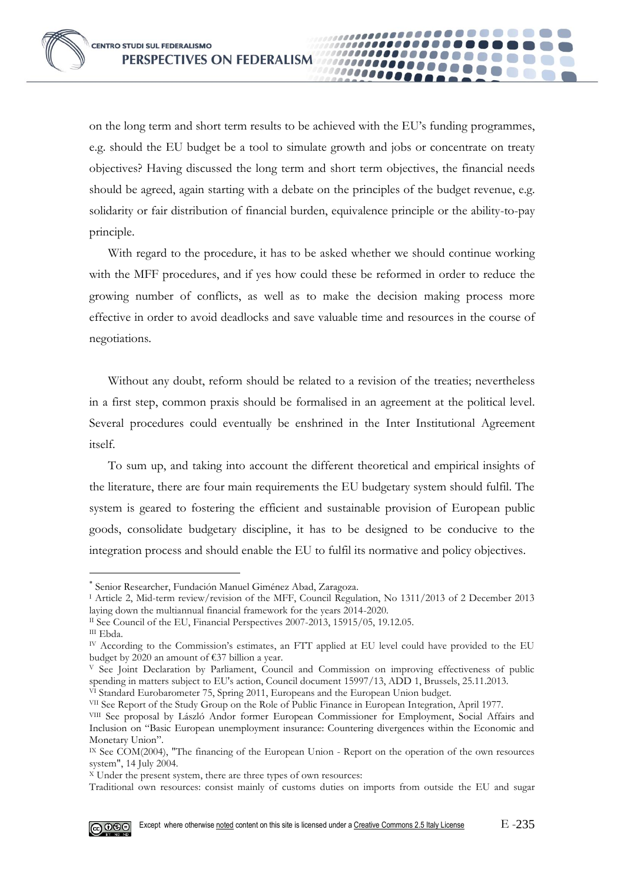on the long term and short term results to be achieved with the EU's funding programmes, e.g. should the EU budget be a tool to simulate growth and jobs or concentrate on treaty objectives? Having discussed the long term and short term objectives, the financial needs should be agreed, again starting with a debate on the principles of the budget revenue, e.g. solidarity or fair distribution of financial burden, equivalence principle or the ability-to-pay principle.

,,,,,,,,,,,,,,,,,,,,,

................

000000000

,,,,,,,,,,,,,,,,,

,,,,,,,,,,,,,,,,,,,

With regard to the procedure, it has to be asked whether we should continue working with the MFF procedures, and if yes how could these be reformed in order to reduce the growing number of conflicts, as well as to make the decision making process more effective in order to avoid deadlocks and save valuable time and resources in the course of negotiations.

Without any doubt, reform should be related to a revision of the treaties; nevertheless in a first step, common praxis should be formalised in an agreement at the political level. Several procedures could eventually be enshrined in the Inter Institutional Agreement itself.

To sum up, and taking into account the different theoretical and empirical insights of the literature, there are four main requirements the EU budgetary system should fulfil. The system is geared to fostering the efficient and sustainable provision of European public goods, consolidate budgetary discipline, it has to be designed to be conducive to the integration process and should enable the EU to fulfil its normative and policy objectives.

III Ebda.

<u>.</u>

VII See Report of the Study Group on the Role of Public Finance in European Integration, April 1977.

Traditional own resources: consist mainly of customs duties on imports from outside the EU and sugar



Senior Researcher, Fundación Manuel Giménez Abad, Zaragoza.

<sup>I</sup> Article 2, Mid-term review/revision of the MFF, Council Regulation, No 1311/2013 of 2 December 2013 laying down the multiannual financial framework for the years 2014-2020.

II See Council of the EU, Financial Perspectives 2007-2013, 15915/05, 19.12.05.

IV According to the Commission's estimates, an FTT applied at EU level could have provided to the EU budget by 2020 an amount of €37 billion a year.

<sup>V</sup> See Joint Declaration by Parliament, Council and Commission on improving effectiveness of public spending in matters subject to EU's action, Council document 15997/13, ADD 1, Brussels, 25.11.2013. VI Standard Eurobarometer 75, Spring 2011, Europeans and the European Union budget.

VIII See proposal by László Andor former European Commissioner for Employment, Social Affairs and Inclusion on "Basic European unemployment insurance: Countering divergences within the Economic and Monetary Union".

IX See COM(2004), "The financing of the European Union - Report on the operation of the own resources system", 14 July 2004.

 $X$  Under the present system, there are three types of own resources: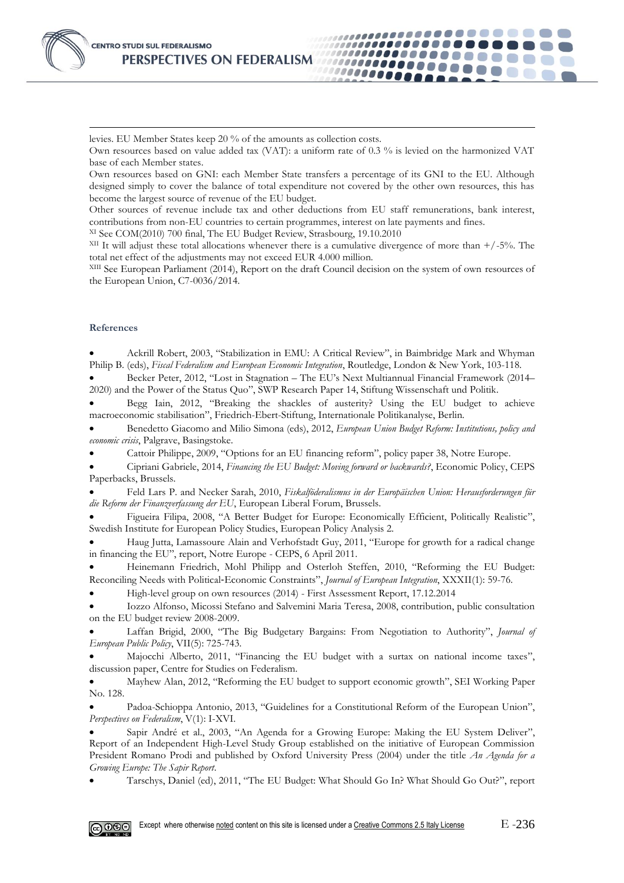levies. EU Member States keep 20 % of the amounts as collection costs.

Own resources based on value added tax (VAT): a uniform rate of 0.3 % is levied on the harmonized VAT base of each Member states.

,,,,,,,,,,,,,,,,,,,,,,,

...............

1000000000

,,,,,,,,,,,,,,,,

,,,,,,,,,,,,,,,,,,

Own resources based on GNI: each Member State transfers a percentage of its GNI to the EU. Although designed simply to cover the balance of total expenditure not covered by the other own resources, this has become the largest source of revenue of the EU budget.

Other sources of revenue include tax and other deductions from EU staff remunerations, bank interest, contributions from non-EU countries to certain programmes, interest on late payments and fines.

XI See COM(2010) 700 final, The EU Budget Review, Strasbourg, 19.10.2010

 $XII$  It will adjust these total allocations whenever there is a cumulative divergence of more than  $+/-5%$ . The total net effect of the adjustments may not exceed EUR 4.000 million.

XIII See European Parliament (2014), Report on the draft Council decision on the system of own resources of the European Union, C7-0036/2014.

#### **References**

-

 Ackrill Robert, 2003, "Stabilization in EMU: A Critical Review", in Baimbridge Mark and Whyman Philip B. (eds), *Fiscal Federalism and European Economic Integration*, Routledge, London & New York, 103-118.

 Becker Peter, 2012, "Lost in Stagnation – The EU's Next Multiannual Financial Framework (2014– 2020) and the Power of the Status Quo", SWP Research Paper 14, Stiftung Wissenschaft und Politik.

 Begg Iain, 2012, "Breaking the shackles of austerity? Using the EU budget to achieve macroeconomic stabilisation", Friedrich-Ebert-Stiftung, Internationale Politikanalyse, Berlin.

 Benedetto Giacomo and Milio Simona (eds), 2012, *European Union Budget Reform: Institutions, policy and economic crisis*, Palgrave, Basingstoke.

Cattoir Philippe, 2009, "Options for an EU financing reform", policy paper 38, Notre Europe.

 Cipriani Gabriele, 2014, *Financing the EU Budget: Moving forward or backwards?*, Economic Policy, CEPS Paperbacks, Brussels.

 Feld Lars P. and Necker Sarah, 2010, *Fiskalföderalismus in der Europäischen Union: Herausforderungen für die Reform der Finanzverfassung der EU*, European Liberal Forum, Brussels.

 Figueira Filipa, 2008, "A Better Budget for Europe: Economically Efficient, Politically Realistic", Swedish Institute for European Policy Studies, European Policy Analysis 2.

 Haug Jutta, Lamassoure Alain and Verhofstadt Guy, 2011, "Europe for growth for a radical change in financing the EU", report, Notre Europe - CEPS, 6 April 2011.

 Heinemann Friedrich, Mohl Philipp and Osterloh Steffen, 2010, "Reforming the EU Budget: Reconciling Needs with Political‐Economic Constraints", *Journal of European Integration*, XXXII(1): 59-76.

High-level group on own resources (2014) - First Assessment Report, 17.12.2014

 Iozzo Alfonso, Micossi Stefano and Salvemini Maria Teresa, 2008, contribution, public consultation on the EU budget review 2008-2009.

 Laffan Brigid, 2000, "The Big Budgetary Bargains: From Negotiation to Authority", *Journal of European Public Policy*, VII(5): 725-743.

 Majocchi Alberto, 2011, "Financing the EU budget with a surtax on national income taxes", discussion paper, Centre for Studies on Federalism.

 Mayhew Alan, 2012, "Reforming the EU budget to support economic growth", SEI Working Paper No. 128.

 Padoa-Schioppa Antonio, 2013, "Guidelines for a Constitutional Reform of the European Union", *Perspectives on Federalism*, V(1): I-XVI.

 Sapir André et al., 2003, "An Agenda for a Growing Europe: Making the EU System Deliver", Report of an Independent High-Level Study Group established on the initiative of European Commission President Romano Prodi and published by Oxford University Press (2004) under the title *An Agenda for a Growing Europe: The Sapir Report*.

Tarschys, Daniel (ed), 2011, "The EU Budget: What Should Go In? What Should Go Out?", report